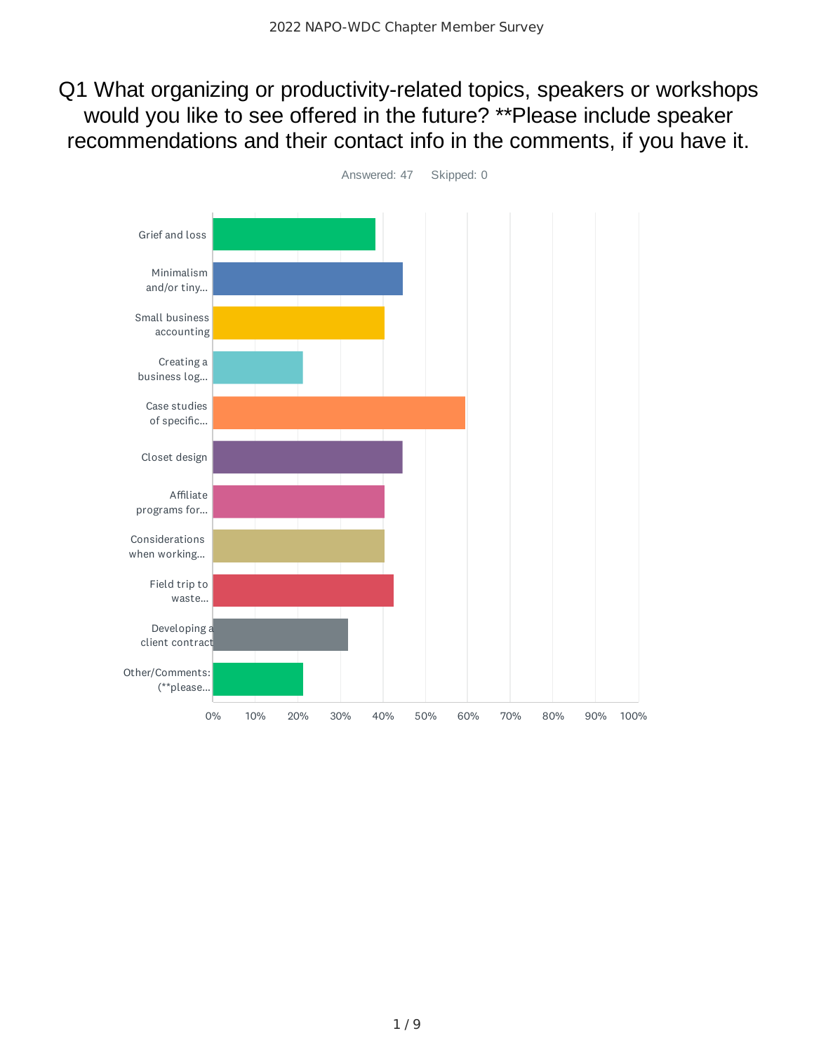Q1 What organizing or productivity-related topics, speakers or workshops would you like to see offered in the future? \*\*Please include speaker recommendations and their contact info in the comments, if you have it.



1 / 9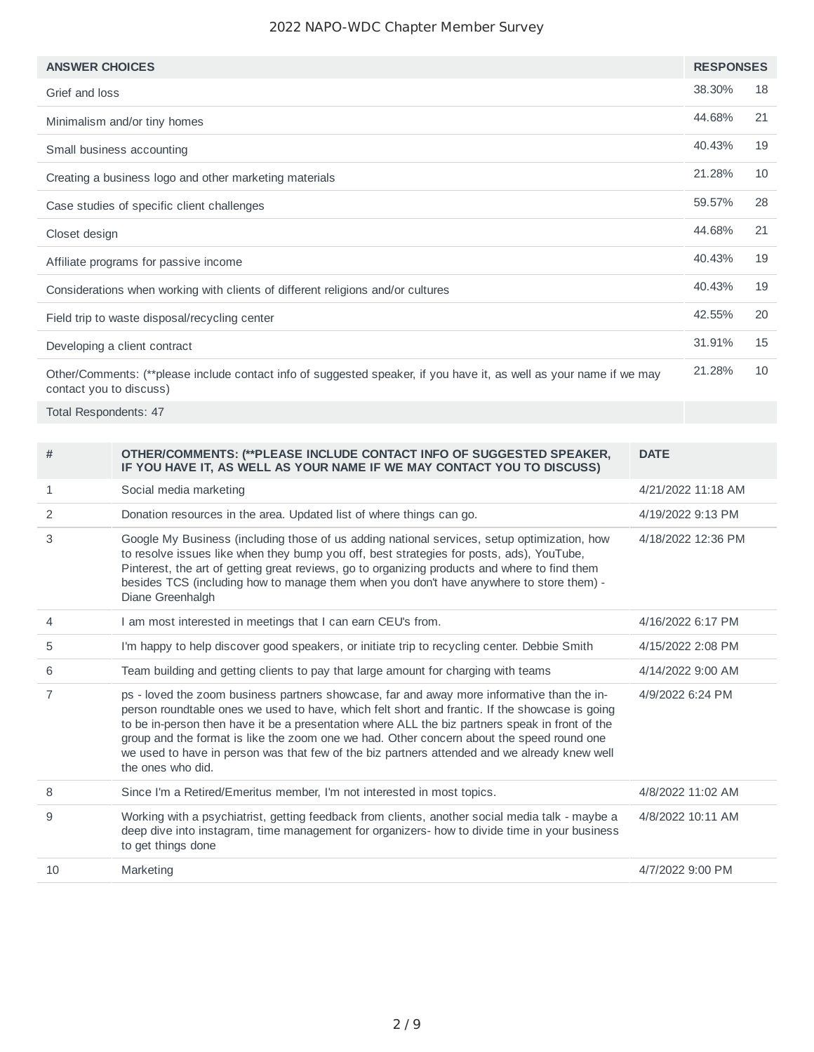| <b>ANSWER CHOICES</b>                                                                                                                          | <b>RESPONSES</b> |    |
|------------------------------------------------------------------------------------------------------------------------------------------------|------------------|----|
| Grief and loss                                                                                                                                 | 38.30%           | 18 |
| Minimalism and/or tiny homes                                                                                                                   | 44.68%           | 21 |
| Small business accounting                                                                                                                      | 40.43%           | 19 |
| Creating a business logo and other marketing materials                                                                                         | 21.28%           | 10 |
| Case studies of specific client challenges                                                                                                     | 59.57%           | 28 |
| Closet design                                                                                                                                  | 44.68%           | 21 |
| Affiliate programs for passive income                                                                                                          | 40.43%           | 19 |
| Considerations when working with clients of different religions and/or cultures                                                                | 40.43%           | 19 |
| Field trip to waste disposal/recycling center                                                                                                  | 42.55%           | 20 |
| Developing a client contract                                                                                                                   | 31.91%           | 15 |
| Other/Comments: (**please include contact info of suggested speaker, if you have it, as well as your name if we may<br>contact you to discuss) | 21.28%           | 10 |

Total Respondents: 47

| #              | OTHERICOMMENTS: (**PLEASE INCLUDE CONTACT INFO OF SUGGESTED SPEAKER,<br>IF YOU HAVE IT, AS WELL AS YOUR NAME IF WE MAY CONTACT YOU TO DISCUSS)                                                                                                                                                                                                                                                                                                                                                                    | <b>DATE</b>        |
|----------------|-------------------------------------------------------------------------------------------------------------------------------------------------------------------------------------------------------------------------------------------------------------------------------------------------------------------------------------------------------------------------------------------------------------------------------------------------------------------------------------------------------------------|--------------------|
| 1              | Social media marketing                                                                                                                                                                                                                                                                                                                                                                                                                                                                                            | 4/21/2022 11:18 AM |
| 2              | Donation resources in the area. Updated list of where things can go.                                                                                                                                                                                                                                                                                                                                                                                                                                              | 4/19/2022 9:13 PM  |
| 3              | Google My Business (including those of us adding national services, setup optimization, how<br>to resolve issues like when they bump you off, best strategies for posts, ads), YouTube,<br>Pinterest, the art of getting great reviews, go to organizing products and where to find them<br>besides TCS (including how to manage them when you don't have anywhere to store them) -<br>Diane Greenhalgh                                                                                                           | 4/18/2022 12:36 PM |
| 4              | I am most interested in meetings that I can earn CEU's from.                                                                                                                                                                                                                                                                                                                                                                                                                                                      | 4/16/2022 6:17 PM  |
| 5              | I'm happy to help discover good speakers, or initiate trip to recycling center. Debbie Smith                                                                                                                                                                                                                                                                                                                                                                                                                      | 4/15/2022 2:08 PM  |
| 6              | Team building and getting clients to pay that large amount for charging with teams                                                                                                                                                                                                                                                                                                                                                                                                                                | 4/14/2022 9:00 AM  |
| $\overline{7}$ | ps - loved the zoom business partners showcase, far and away more informative than the in-<br>person roundtable ones we used to have, which felt short and frantic. If the showcase is going<br>to be in-person then have it be a presentation where ALL the biz partners speak in front of the<br>group and the format is like the zoom one we had. Other concern about the speed round one<br>we used to have in person was that few of the biz partners attended and we already knew well<br>the ones who did. | 4/9/2022 6:24 PM   |
| 8              | Since I'm a Retired/Emeritus member, I'm not interested in most topics.                                                                                                                                                                                                                                                                                                                                                                                                                                           | 4/8/2022 11:02 AM  |
| 9              | Working with a psychiatrist, getting feedback from clients, another social media talk - maybe a<br>deep dive into instagram, time management for organizers- how to divide time in your business<br>to get things done                                                                                                                                                                                                                                                                                            | 4/8/2022 10:11 AM  |
| 10             | Marketing                                                                                                                                                                                                                                                                                                                                                                                                                                                                                                         | 4/7/2022 9:00 PM   |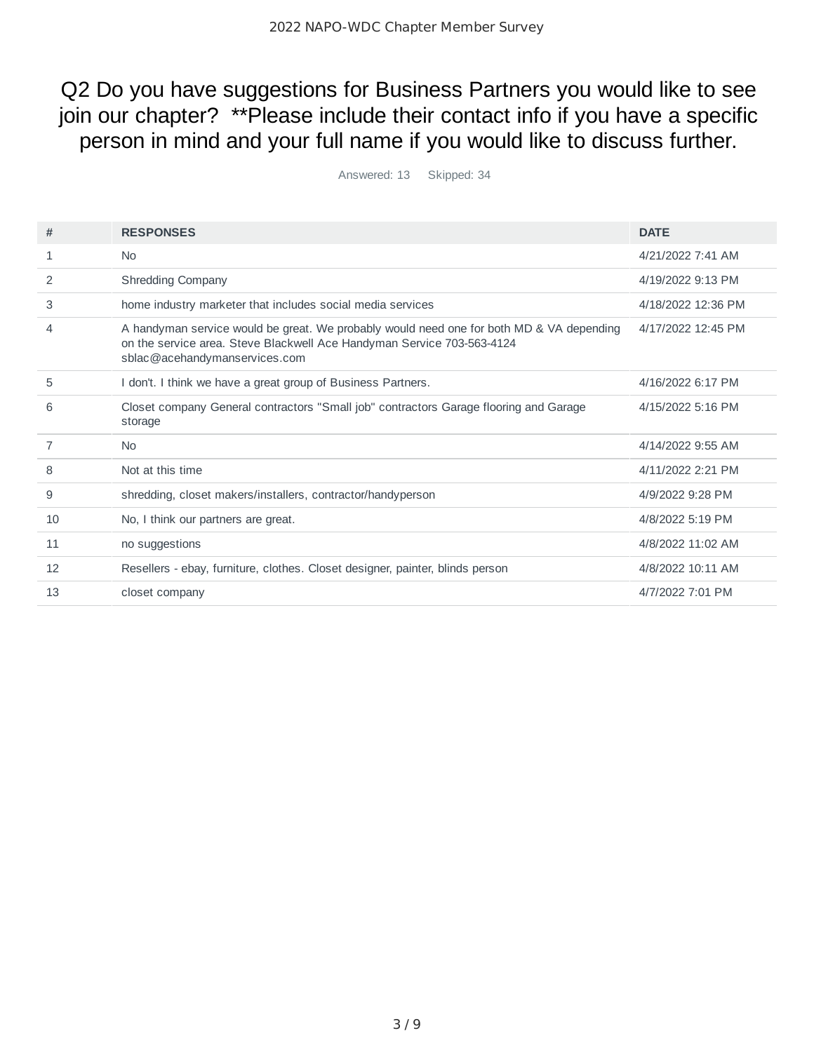# Q2 Do you have suggestions for Business Partners you would like to see join our chapter? \*\*Please include their contact info if you have a specific person in mind and your full name if you would like to discuss further.

Answered: 13 Skipped: 34

| #  | <b>RESPONSES</b>                                                                                                                                                                                    | <b>DATE</b>        |
|----|-----------------------------------------------------------------------------------------------------------------------------------------------------------------------------------------------------|--------------------|
| 1  | N <sub>0</sub>                                                                                                                                                                                      | 4/21/2022 7:41 AM  |
| 2  | <b>Shredding Company</b>                                                                                                                                                                            | 4/19/2022 9:13 PM  |
| 3  | home industry marketer that includes social media services                                                                                                                                          | 4/18/2022 12:36 PM |
| 4  | A handyman service would be great. We probably would need one for both MD & VA depending<br>on the service area. Steve Blackwell Ace Handyman Service 703-563-4124<br>sblac@acehandymanservices.com | 4/17/2022 12:45 PM |
| 5  | I don't. I think we have a great group of Business Partners.                                                                                                                                        | 4/16/2022 6:17 PM  |
| 6  | Closet company General contractors "Small job" contractors Garage flooring and Garage<br>storage                                                                                                    | 4/15/2022 5:16 PM  |
| 7  | <b>No</b>                                                                                                                                                                                           | 4/14/2022 9:55 AM  |
| 8  | Not at this time                                                                                                                                                                                    | 4/11/2022 2:21 PM  |
| 9  | shredding, closet makers/installers, contractor/handyperson                                                                                                                                         | 4/9/2022 9:28 PM   |
| 10 | No, I think our partners are great.                                                                                                                                                                 | 4/8/2022 5:19 PM   |
| 11 | no suggestions                                                                                                                                                                                      | 4/8/2022 11:02 AM  |
| 12 | Resellers - ebay, furniture, clothes. Closet designer, painter, blinds person                                                                                                                       | 4/8/2022 10:11 AM  |
| 13 | closet company                                                                                                                                                                                      | 4/7/2022 7:01 PM   |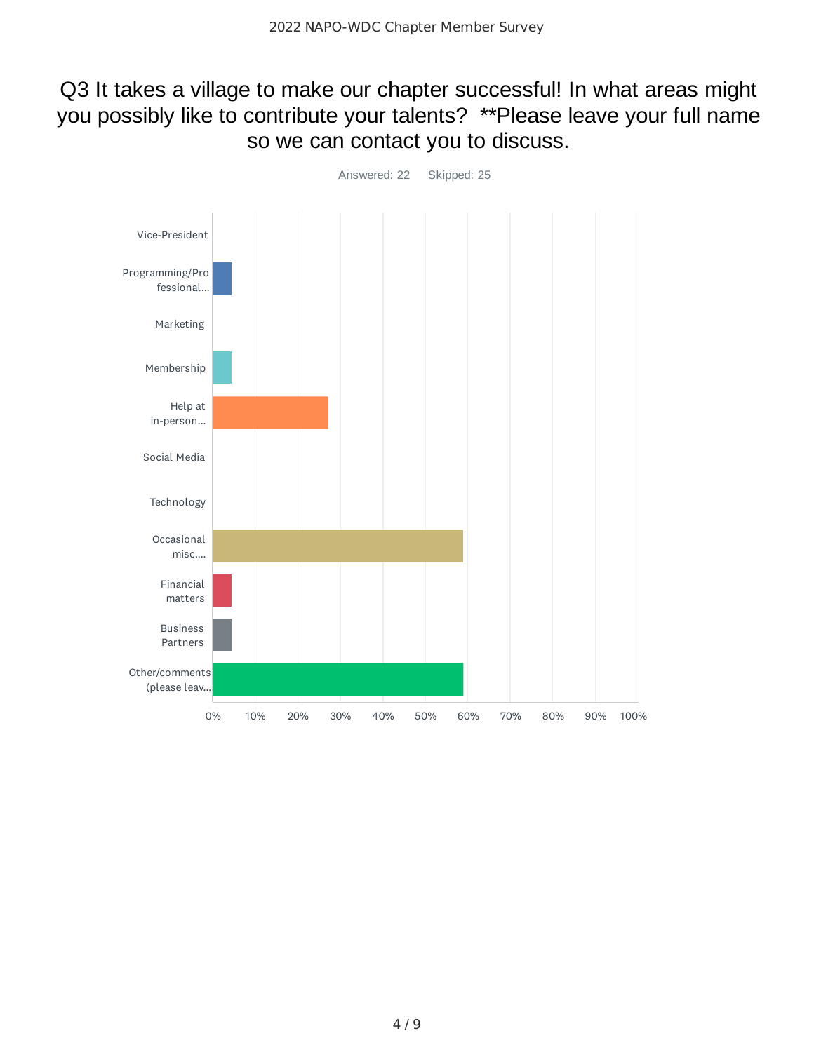# Q3 It takes a village to make our chapter successful! In what areas might you possibly like to contribute your talents? \*\*Please leave your full name so we can contact you to discuss.



4 / 9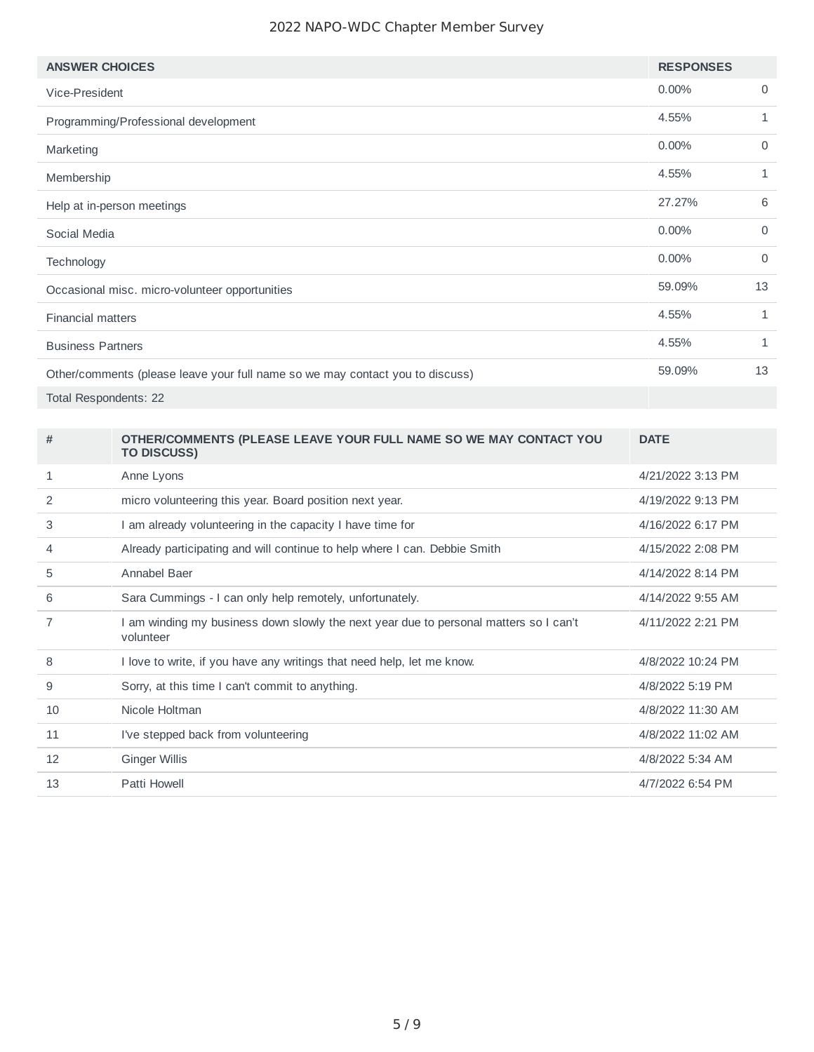| <b>ANSWER CHOICES</b>                                                         | <b>RESPONSES</b> |             |
|-------------------------------------------------------------------------------|------------------|-------------|
| Vice-President                                                                | 0.00%            | $\mathbf 0$ |
| Programming/Professional development                                          | 4.55%            | 1           |
| Marketing                                                                     | 0.00%            | $\mathbf 0$ |
| Membership                                                                    | 4.55%            | 1           |
| Help at in-person meetings                                                    | 27.27%           | 6           |
| Social Media                                                                  | 0.00%            | $\mathbf 0$ |
| Technology                                                                    | 0.00%            | $\mathbf 0$ |
| Occasional misc. micro-volunteer opportunities                                | 59.09%           | 13          |
| <b>Financial matters</b>                                                      | 4.55%            | 1           |
| <b>Business Partners</b>                                                      | 4.55%            | 1           |
| Other/comments (please leave your full name so we may contact you to discuss) | 59.09%           | 13          |
| Total Respondents: 22                                                         |                  |             |

| #            | OTHERICOMMENTS (PLEASE LEAVE YOUR FULL NAME SO WE MAY CONTACT YOU<br><b>TO DISCUSS)</b>            | <b>DATE</b>       |
|--------------|----------------------------------------------------------------------------------------------------|-------------------|
| $\mathbf{1}$ | Anne Lyons                                                                                         | 4/21/2022 3:13 PM |
| 2            | micro volunteering this year. Board position next year.                                            | 4/19/2022 9:13 PM |
| 3            | I am already volunteering in the capacity I have time for                                          | 4/16/2022 6:17 PM |
| 4            | Already participating and will continue to help where I can. Debbie Smith                          | 4/15/2022 2:08 PM |
| 5            | Annabel Baer                                                                                       | 4/14/2022 8:14 PM |
| 6            | Sara Cummings - I can only help remotely, unfortunately.                                           | 4/14/2022 9:55 AM |
| 7            | I am winding my business down slowly the next year due to personal matters so I can't<br>volunteer | 4/11/2022 2:21 PM |
| 8            | I love to write, if you have any writings that need help, let me know.                             | 4/8/2022 10:24 PM |
| 9            | Sorry, at this time I can't commit to anything.                                                    | 4/8/2022 5:19 PM  |
| 10           | Nicole Holtman                                                                                     | 4/8/2022 11:30 AM |
| 11           | I've stepped back from volunteering                                                                | 4/8/2022 11:02 AM |
| 12           | <b>Ginger Willis</b>                                                                               | 4/8/2022 5:34 AM  |
| 13           | Patti Howell                                                                                       | 4/7/2022 6:54 PM  |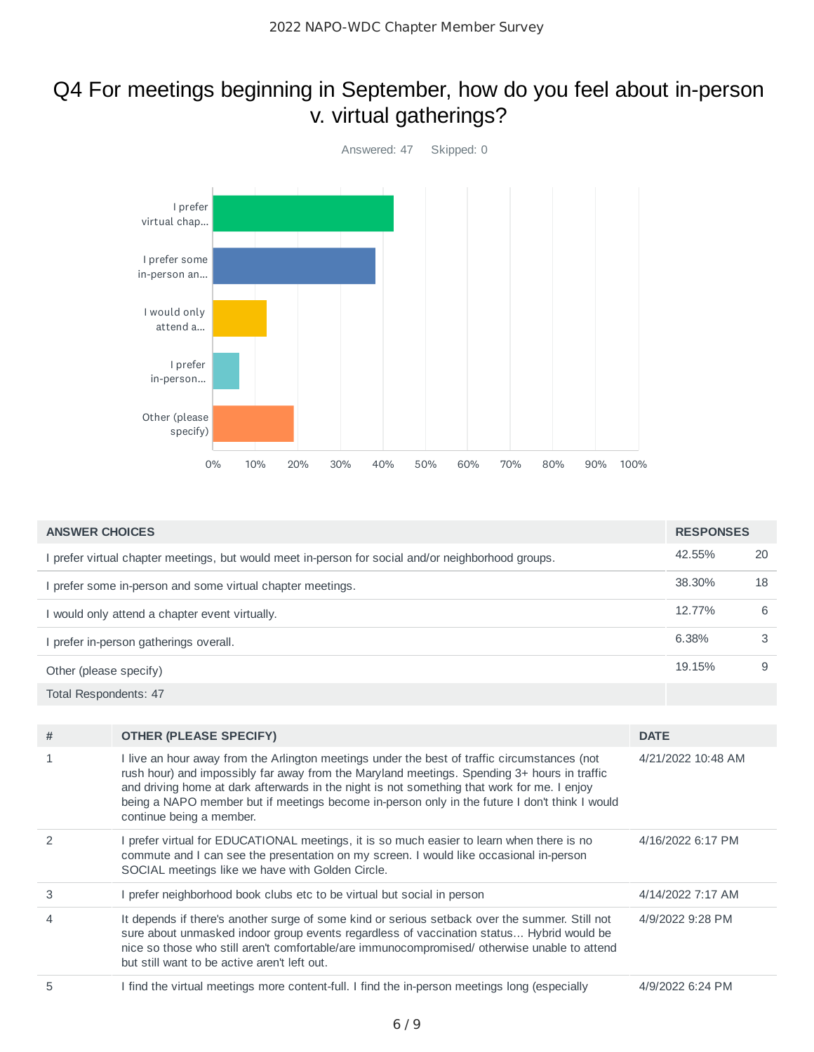# Q4 For meetings beginning in September, how do you feel about in-person v. virtual gatherings?



| <b>ANSWER CHOICES</b>                                                                              | <b>RESPONSES</b> |    |
|----------------------------------------------------------------------------------------------------|------------------|----|
| I prefer virtual chapter meetings, but would meet in-person for social and/or neighborhood groups. | 42.55%           | 20 |
| I prefer some in-person and some virtual chapter meetings.                                         | 38.30%           | 18 |
| I would only attend a chapter event virtually.                                                     | 12.77%           | 6  |
| I prefer in-person gatherings overall.                                                             | 6.38%            | 3  |
| Other (please specify)                                                                             | 19.15%           | 9  |
| Total Respondents: 47                                                                              |                  |    |

| # | <b>OTHER (PLEASE SPECIFY)</b>                                                                                                                                                                                                                                                                                                                                                                                           | <b>DATE</b>        |
|---|-------------------------------------------------------------------------------------------------------------------------------------------------------------------------------------------------------------------------------------------------------------------------------------------------------------------------------------------------------------------------------------------------------------------------|--------------------|
|   | I live an hour away from the Arlington meetings under the best of traffic circumstances (not<br>rush hour) and impossibly far away from the Maryland meetings. Spending 3+ hours in traffic<br>and driving home at dark afterwards in the night is not something that work for me. I enjoy<br>being a NAPO member but if meetings become in-person only in the future I don't think I would<br>continue being a member. | 4/21/2022 10:48 AM |
|   | prefer virtual for EDUCATIONAL meetings, it is so much easier to learn when there is no<br>commute and I can see the presentation on my screen. I would like occasional in-person<br>SOCIAL meetings like we have with Golden Circle.                                                                                                                                                                                   | 4/16/2022 6:17 PM  |
| 3 | prefer neighborhood book clubs etc to be virtual but social in person                                                                                                                                                                                                                                                                                                                                                   | 4/14/2022 7:17 AM  |
|   | It depends if there's another surge of some kind or serious setback over the summer. Still not<br>sure about unmasked indoor group events regardless of vaccination status Hybrid would be<br>nice so those who still aren't comfortable/are immunocompromised/ otherwise unable to attend<br>but still want to be active aren't left out.                                                                              | 4/9/2022 9:28 PM   |
| 5 | I find the virtual meetings more content-full. I find the in-person meetings long (especially                                                                                                                                                                                                                                                                                                                           | 4/9/2022 6:24 PM   |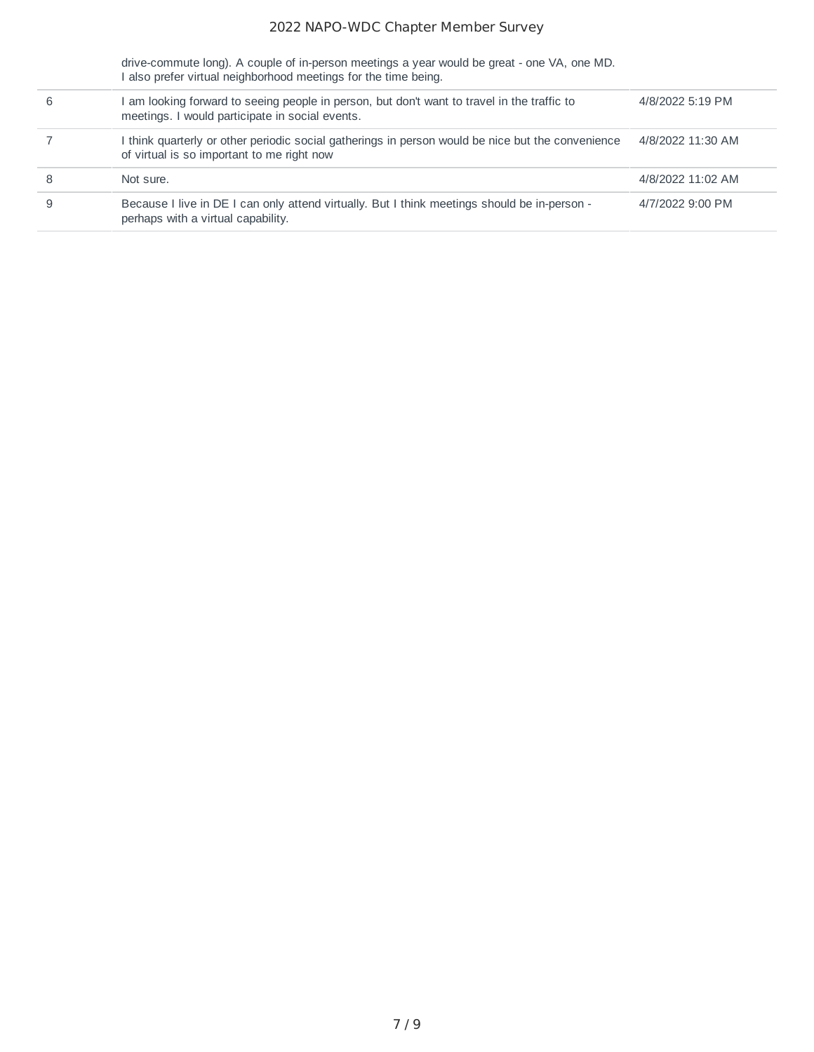drive-commute long). A couple of in-person meetings a year would be great - one VA, one MD. I also prefer virtual neighborhood meetings for the time being.

| 6 | I am looking forward to seeing people in person, but don't want to travel in the traffic to<br>meetings. I would participate in social events.  | 4/8/2022 5:19 PM  |
|---|-------------------------------------------------------------------------------------------------------------------------------------------------|-------------------|
|   | I think quarterly or other periodic social gatherings in person would be nice but the convenience<br>of virtual is so important to me right now | 4/8/2022 11:30 AM |
|   | Not sure.                                                                                                                                       | 4/8/2022 11:02 AM |
|   | Because I live in DE I can only attend virtually. But I think meetings should be in-person -<br>perhaps with a virtual capability.              | 4/7/2022 9:00 PM  |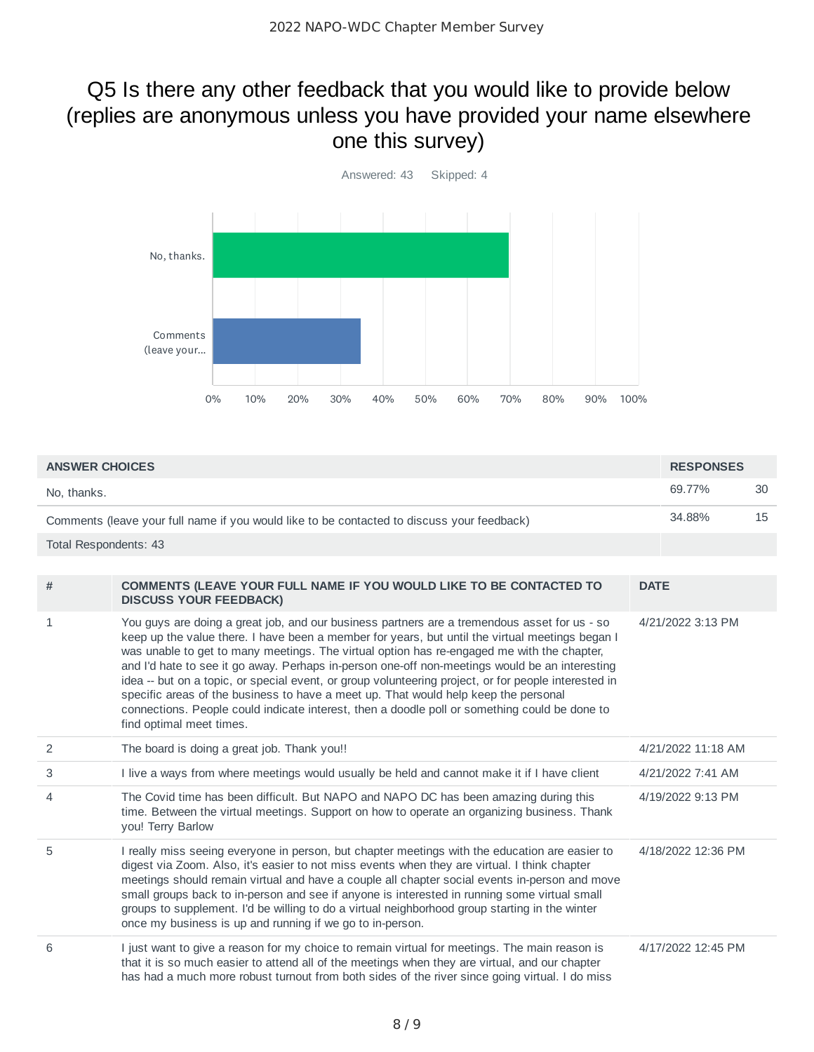# Q5 Is there any other feedback that you would like to provide below (replies are anonymous unless you have provided your name elsewhere one this survey)



| <b>ANSWER CHOICES</b> |                                                                                                                                                                                                                                                                                                                                                                                                                                                                                                                                                                                                                                                                                                                             |             | <b>RESPONSES</b>   |    |
|-----------------------|-----------------------------------------------------------------------------------------------------------------------------------------------------------------------------------------------------------------------------------------------------------------------------------------------------------------------------------------------------------------------------------------------------------------------------------------------------------------------------------------------------------------------------------------------------------------------------------------------------------------------------------------------------------------------------------------------------------------------------|-------------|--------------------|----|
| No, thanks.           |                                                                                                                                                                                                                                                                                                                                                                                                                                                                                                                                                                                                                                                                                                                             |             | 69.77%             | 30 |
|                       | Comments (leave your full name if you would like to be contacted to discuss your feedback)                                                                                                                                                                                                                                                                                                                                                                                                                                                                                                                                                                                                                                  |             | 34.88%             | 15 |
| Total Respondents: 43 |                                                                                                                                                                                                                                                                                                                                                                                                                                                                                                                                                                                                                                                                                                                             |             |                    |    |
|                       |                                                                                                                                                                                                                                                                                                                                                                                                                                                                                                                                                                                                                                                                                                                             |             |                    |    |
| #                     | COMMENTS (LEAVE YOUR FULL NAME IF YOU WOULD LIKE TO BE CONTACTED TO<br><b>DISCUSS YOUR FEEDBACK)</b>                                                                                                                                                                                                                                                                                                                                                                                                                                                                                                                                                                                                                        | <b>DATE</b> |                    |    |
| 1                     | You guys are doing a great job, and our business partners are a tremendous asset for us - so<br>keep up the value there. I have been a member for years, but until the virtual meetings began I<br>was unable to get to many meetings. The virtual option has re-engaged me with the chapter,<br>and I'd hate to see it go away. Perhaps in-person one-off non-meetings would be an interesting<br>idea -- but on a topic, or special event, or group volunteering project, or for people interested in<br>specific areas of the business to have a meet up. That would help keep the personal<br>connections. People could indicate interest, then a doodle poll or something could be done to<br>find optimal meet times. |             | 4/21/2022 3:13 PM  |    |
| 2                     | The board is doing a great job. Thank you!!                                                                                                                                                                                                                                                                                                                                                                                                                                                                                                                                                                                                                                                                                 |             | 4/21/2022 11:18 AM |    |
| 3                     | I live a ways from where meetings would usually be held and cannot make it if I have client                                                                                                                                                                                                                                                                                                                                                                                                                                                                                                                                                                                                                                 |             | 4/21/2022 7:41 AM  |    |
| $\overline{4}$        | The Covid time has been difficult. But NAPO and NAPO DC has been amazing during this<br>time. Between the virtual meetings. Support on how to operate an organizing business. Thank<br>you! Terry Barlow                                                                                                                                                                                                                                                                                                                                                                                                                                                                                                                    |             | 4/19/2022 9:13 PM  |    |
| 5                     | I really miss seeing everyone in person, but chapter meetings with the education are easier to<br>digest via Zoom. Also, it's easier to not miss events when they are virtual. I think chapter<br>meetings should remain virtual and have a couple all chapter social events in-person and move<br>small groups back to in-person and see if anyone is interested in running some virtual small<br>groups to supplement. I'd be willing to do a virtual neighborhood group starting in the winter<br>once my business is up and running if we go to in-person.                                                                                                                                                              |             | 4/18/2022 12:36 PM |    |
| 6                     | I just want to give a reason for my choice to remain virtual for meetings. The main reason is<br>that it is so much easier to attend all of the meetings when they are virtual, and our chapter<br>has had a much more robust turnout from both sides of the river since going virtual. I do miss                                                                                                                                                                                                                                                                                                                                                                                                                           |             | 4/17/2022 12:45 PM |    |